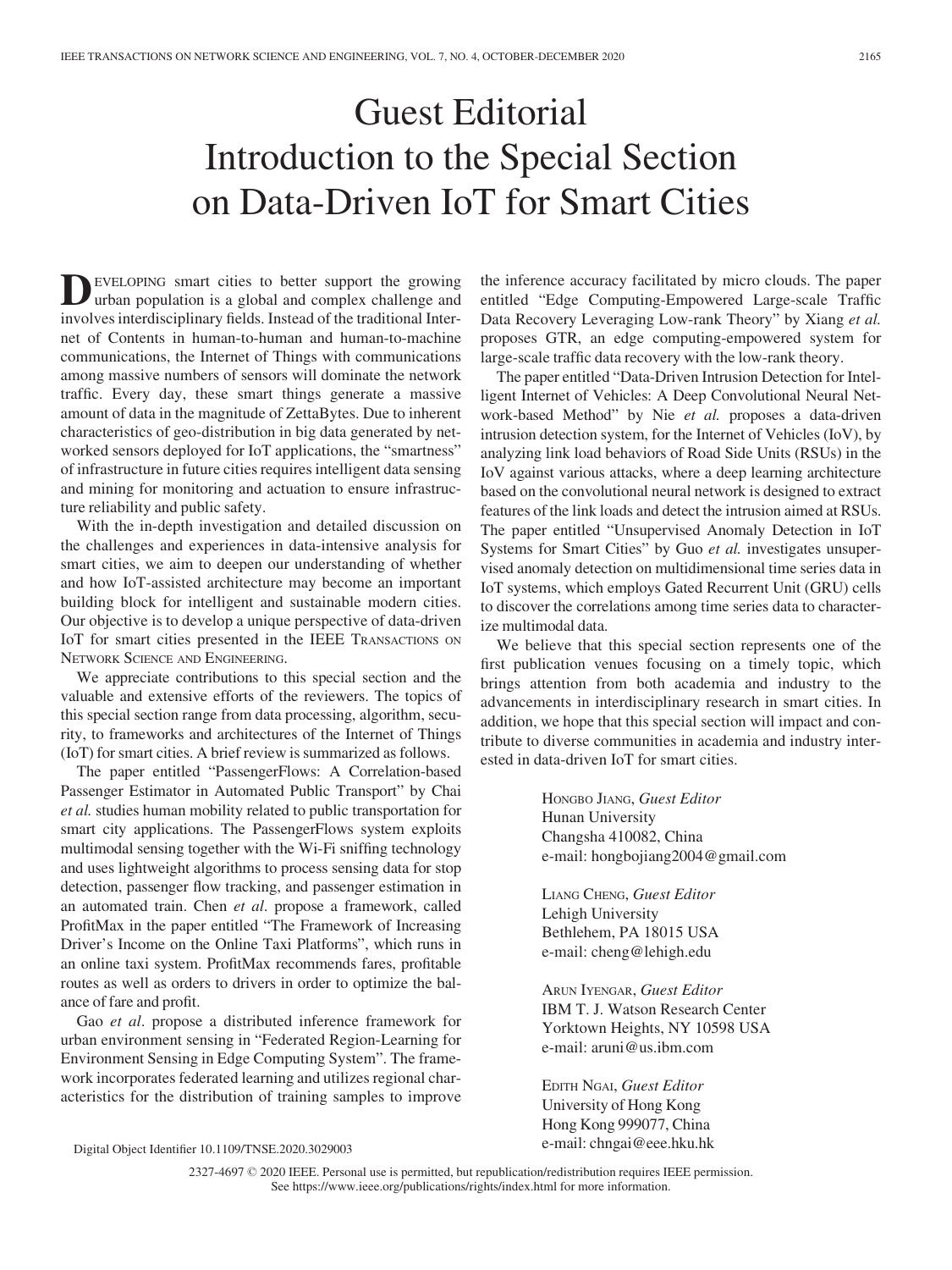## Guest Editorial Introduction to the Special Section on Data-Driven IoT for Smart Cities

EVELOPING smart cities to better support the growing urban population is a global and complex challenge and involves interdisciplinary fields. Instead of the traditional Internet of Contents in human-to-human and human-to-machine communications, the Internet of Things with communications among massive numbers of sensors will dominate the network traffic. Every day, these smart things generate a massive amount of data in the magnitude of ZettaBytes. Due to inherent characteristics of geo-distribution in big data generated by networked sensors deployed for IoT applications, the "smartness" of infrastructure in future cities requires intelligent data sensing and mining for monitoring and actuation to ensure infrastructure reliability and public safety.

With the in-depth investigation and detailed discussion on the challenges and experiences in data-intensive analysis for smart cities, we aim to deepen our understanding of whether and how IoT-assisted architecture may become an important building block for intelligent and sustainable modern cities. Our objective is to develop a unique perspective of data-driven IoT for smart cities presented in the IEEE TRANSACTIONS ON NETWORK SCIENCE AND ENGINEERING.

We appreciate contributions to this special section and the valuable and extensive efforts of the reviewers. The topics of this special section range from data processing, algorithm, security, to frameworks and architectures of the Internet of Things (IoT) for smart cities. A brief review is summarized as follows.

The paper entitled "PassengerFlows: A Correlation-based Passenger Estimator in Automated Public Transport" by Chai et al. studies human mobility related to public transportation for smart city applications. The PassengerFlows system exploits multimodal sensing together with the Wi-Fi sniffing technology and uses lightweight algorithms to process sensing data for stop detection, passenger flow tracking, and passenger estimation in an automated train. Chen et al. propose a framework, called ProfitMax in the paper entitled "The Framework of Increasing Driver's Income on the Online Taxi Platforms", which runs in an online taxi system. ProfitMax recommends fares, profitable routes as well as orders to drivers in order to optimize the balance of fare and profit.

Gao et al. propose a distributed inference framework for urban environment sensing in "Federated Region-Learning for Environment Sensing in Edge Computing System". The framework incorporates federated learning and utilizes regional characteristics for the distribution of training samples to improve

e-mail: [chngai@eee.hku.hk](mailto:) Digital Object Identifier 10.1109/TNSE.2020.3029003

the inference accuracy facilitated by micro clouds. The paper entitled "Edge Computing-Empowered Large-scale Traffic Data Recovery Leveraging Low-rank Theory" by Xiang et al. proposes GTR, an edge computing-empowered system for large-scale traffic data recovery with the low-rank theory.

The paper entitled "Data-Driven Intrusion Detection for Intelligent Internet of Vehicles: A Deep Convolutional Neural Network-based Method" by Nie et al. proposes a data-driven intrusion detection system, for the Internet of Vehicles (IoV), by analyzing link load behaviors of Road Side Units (RSUs) in the IoV against various attacks, where a deep learning architecture based on the convolutional neural network is designed to extract features of the link loads and detect the intrusion aimed at RSUs. The paper entitled "Unsupervised Anomaly Detection in IoT Systems for Smart Cities" by Guo et al. investigates unsupervised anomaly detection on multidimensional time series data in IoT systems, which employs Gated Recurrent Unit (GRU) cells to discover the correlations among time series data to characterize multimodal data.

We believe that this special section represents one of the first publication venues focusing on a timely topic, which brings attention from both academia and industry to the advancements in interdisciplinary research in smart cities. In addition, we hope that this special section will impact and contribute to diverse communities in academia and industry interested in data-driven IoT for smart cities.

> HONGBO JIANG, Guest Editor Hunan University Changsha 410082, China e-mail: [hongbojiang2004@gmail.com](mailto:)

LIANG CHENG, Guest Editor [Lehigh](mailto:) University Bethlehem, PA 18015 USA e-mail: [cheng@lehigh.edu](mailto:)

ARUN IYENGAR, Guest Editor IBM T. J. Watson Research Center Yorktown Heights, NY 10598 USA e-mail: [aruni@us.ibm.com](mailto:)

EDITH NGAI, Guest Editor University of Hong Kong Hong Kong 999077, China

2327-4697 2020 IEEE. Personal use is permitted, but republication/redistribution requires IEEE permission. See https://www.ieee.org/publications/rights/index.html for more information.